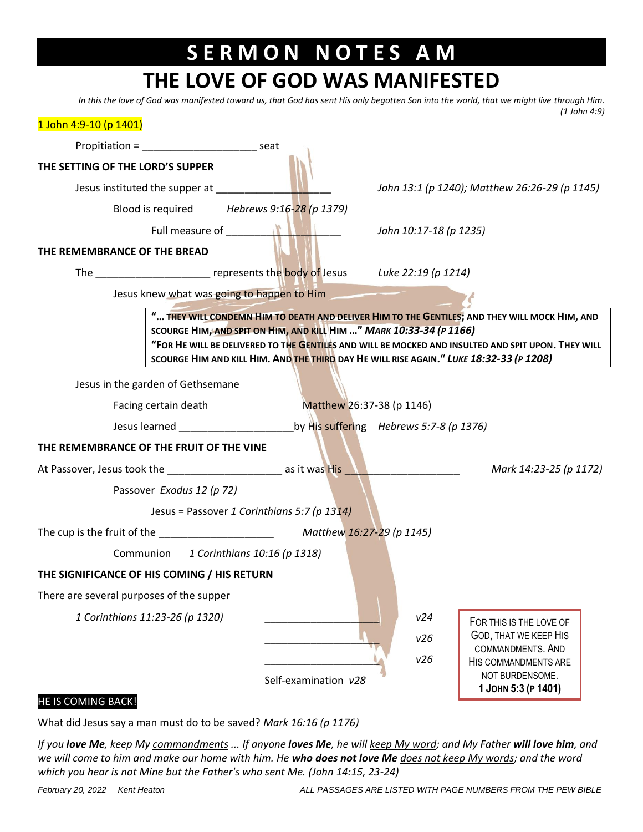## **S E R M O N N O T E S A M**

## **THE LOVE OF GOD WAS MANIFESTED**

*In this the love of God was manifested toward us, that God has sent His only begotten Son into the world, that we might live through Him. (1 John 4:9)*

| 1 John 4:9-10 (p 1401)                                                                                                                                                                                                      |                           |                                                                                                                           |
|-----------------------------------------------------------------------------------------------------------------------------------------------------------------------------------------------------------------------------|---------------------------|---------------------------------------------------------------------------------------------------------------------------|
| Propitiation = ________________________________ seat                                                                                                                                                                        |                           |                                                                                                                           |
| THE SETTING OF THE LORD'S SUPPER                                                                                                                                                                                            |                           |                                                                                                                           |
| Jesus instituted the supper at                                                                                                                                                                                              |                           | John 13:1 (p 1240); Matthew 26:26-29 (p 1145)                                                                             |
| Blood is required Hebrews 9:16-28 (p 1379)                                                                                                                                                                                  |                           |                                                                                                                           |
|                                                                                                                                                                                                                             |                           | John 10:17-18 (p 1235)                                                                                                    |
| THE REMEMBRANCE OF THE BREAD                                                                                                                                                                                                |                           |                                                                                                                           |
| The $\frac{1}{2}$ represents the body of Jesus Luke 22:19 (p 1214)                                                                                                                                                          |                           |                                                                                                                           |
| Jesus knew what was going to happen to Him                                                                                                                                                                                  |                           |                                                                                                                           |
|                                                                                                                                                                                                                             |                           | " THEY WILL CONDEMN HIM TO DEATH AND DELIVER HIM TO THE GENTILES; AND THEY WILL MOCK HIM, AND                             |
| SCOURGE HIM, AND SPIT ON HIM, AND KILL HIM " MARK 10:33-34 (P 1166)                                                                                                                                                         |                           | "FOR HE WILL BE DELIVERED TO THE GENTILES AND WILL BE MOCKED AND INSULTED AND SPIT UPON. THEY WILL                        |
|                                                                                                                                                                                                                             |                           | SCOURGE HIM AND KILL HIM. AND THE THIRD DAY HE WILL RISE AGAIN. " LUKE 18:32-33 (P 1208)                                  |
| Jesus in the garden of Gethsemane                                                                                                                                                                                           |                           |                                                                                                                           |
| Facing certain death                                                                                                                                                                                                        | Matthew 26:37-38 (p 1146) |                                                                                                                           |
| Jesus learned and the state of the state of<br>by His suffering Hebrews 5:7-8 (p 1376)                                                                                                                                      |                           |                                                                                                                           |
| THE REMEMBRANCE OF THE FRUIT OF THE VINE                                                                                                                                                                                    |                           |                                                                                                                           |
| At Passover, Jesus took the <u>contract and a set as it was His and the contract of the set of the set of the set o</u>                                                                                                     |                           | Mark 14:23-25 (p 1172)                                                                                                    |
| Passover Exodus 12 (p 72)                                                                                                                                                                                                   |                           |                                                                                                                           |
| Jesus = Passover 1 Corinthians 5:7 (p 1314)                                                                                                                                                                                 |                           |                                                                                                                           |
| The cup is the fruit of the $M$ and $M$ and $M$ and $M$ and $M$ and $M$ and $M$ and $M$ and $M$ and $M$ and $M$ and $M$ and $M$ and $M$ and $M$ and $M$ and $M$ and $M$ and $M$ and $M$ and $M$ and $M$ and $M$ and $M$ and |                           |                                                                                                                           |
| Communion 1 Corinthians 10:16 (p 1318)                                                                                                                                                                                      |                           |                                                                                                                           |
| THE SIGNIFICANCE OF HIS COMING / HIS RETURN                                                                                                                                                                                 |                           |                                                                                                                           |
| There are several purposes of the supper                                                                                                                                                                                    |                           |                                                                                                                           |
| 1 Corinthians 11:23-26 (p 1320)                                                                                                                                                                                             |                           | v24<br>FOR THIS IS THE LOVE OF<br><b>GOD, THAT WE KEEP HIS</b><br>v26<br>COMMANDMENTS. AND<br>v26<br>HIS COMMANDMENTS ARE |
|                                                                                                                                                                                                                             | Self-examination v28      | NOT BURDENSOME.<br>1 JOHN 5:3 (P 1401)                                                                                    |
| HE IS COMING BACK!                                                                                                                                                                                                          |                           |                                                                                                                           |

What did Jesus say a man must do to be saved? *Mark 16:16 (p 1176)*

*If you love Me, keep My commandments ... If anyone loves Me, he will keep My word; and My Father will love him, and we will come to him and make our home with him. He who does not love Me does not keep My words; and the word which you hear is not Mine but the Father's who sent Me. (John 14:15, 23-24)*